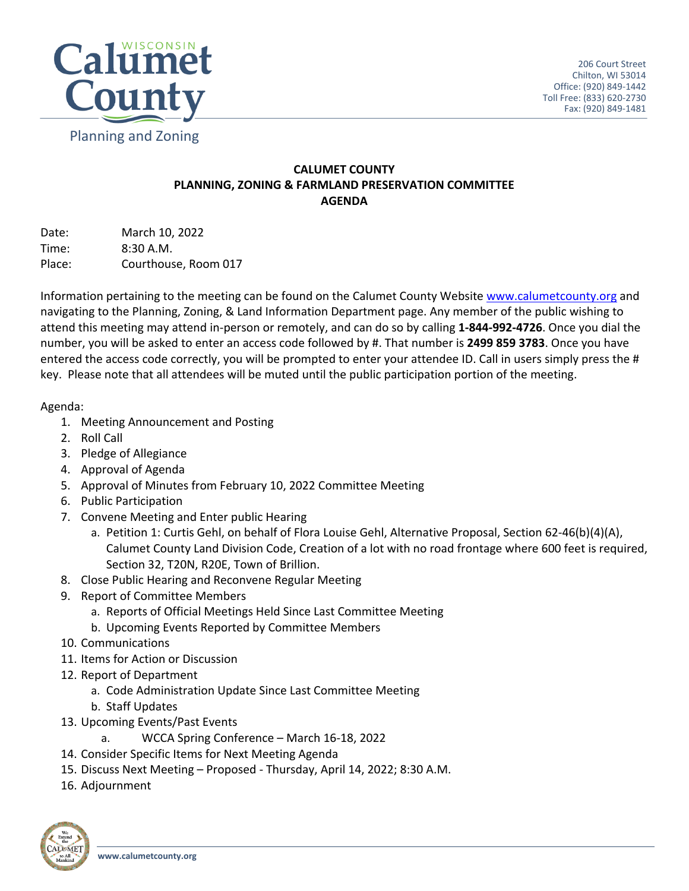

## **CALUMET COUNTY PLANNING, ZONING & FARMLAND PRESERVATION COMMITTEE AGENDA**

Date: March 10, 2022 Time: 8:30 A.M. Place: Courthouse, Room 017

Information pertaining to the meeting can be found on the Calumet County Website [www.calumetcounty.org](http://www.calumetcounty.org/) and navigating to the Planning, Zoning, & Land Information Department page. Any member of the public wishing to attend this meeting may attend in-person or remotely, and can do so by calling **1-844-992-4726**. Once you dial the number, you will be asked to enter an access code followed by #. That number is **2499 859 3783**. Once you have entered the access code correctly, you will be prompted to enter your attendee ID. Call in users simply press the # key. Please note that all attendees will be muted until the public participation portion of the meeting.

## Agenda:

- 1. Meeting Announcement and Posting
- 2. Roll Call
- 3. Pledge of Allegiance
- 4. Approval of Agenda
- 5. Approval of Minutes from February 10, 2022 Committee Meeting
- 6. Public Participation
- 7. Convene Meeting and Enter public Hearing
	- a. Petition 1: Curtis Gehl, on behalf of Flora Louise Gehl, Alternative Proposal, Section 62-46(b)(4)(A), Calumet County Land Division Code, Creation of a lot with no road frontage where 600 feet is required, Section 32, T20N, R20E, Town of Brillion.
- 8. Close Public Hearing and Reconvene Regular Meeting
- 9. Report of Committee Members
	- a. Reports of Official Meetings Held Since Last Committee Meeting
	- b. Upcoming Events Reported by Committee Members
- 10. Communications
- 11. Items for Action or Discussion
- 12. Report of Department
	- a. Code Administration Update Since Last Committee Meeting
	- b. Staff Updates
- 13. Upcoming Events/Past Events
	- a. WCCA Spring Conference March 16-18, 2022
- 14. Consider Specific Items for Next Meeting Agenda
- 15. Discuss Next Meeting Proposed Thursday, April 14, 2022; 8:30 A.M.
- 16. Adjournment